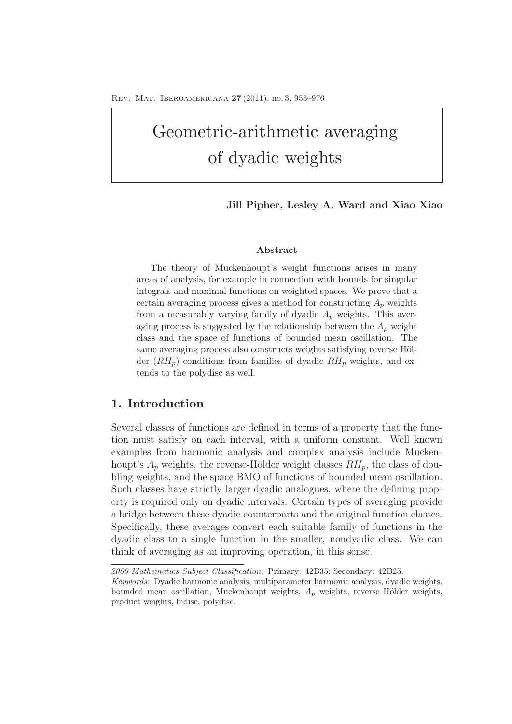# Geometric-arithmetic averaging of dyadic weights

## **Jill Pipher, Lesley A. Ward and Xiao Xiao**

#### **Abstract**

The theory of Muckenhoupt's weight functions arises in many areas of analysis, for example in connection with bounds for singular integrals and maximal functions on weighted spaces. We prove that a certain averaging process gives a method for constructing  $A_p$  weights from a measurably varying family of dyadic  $A_p$  weights. This averaging process is suggested by the relationship between the  $A_p$  weight class and the space of functions of bounded mean oscillation. The same averaging process also constructs weights satisfying reverse Hölder  $(RH_p)$  conditions from families of dyadic  $RH_p$  weights, and extends to the polydisc as well.

# **1. Introduction**

Several classes of functions are defined in terms of a property that the function must satisfy on each interval, with a uniform constant. Well known examples from harmonic analysis and complex analysis include Muckenhoupt's  $A_p$  weights, the reverse-Hölder weight classes  $RH_p$ , the class of doubling weights, and the space BMO of functions of bounded mean oscillation. Such classes have strictly larger dyadic analogues, where the defining property is required only on dyadic intervals. Certain types of averaging provide a bridge between these dyadic counterparts and the original function classes. Specifically, these averages convert each suitable family of functions in the dyadic class to a single function in the smaller, nondyadic class. We can think of averaging as an improving operation, in this sense.

*<sup>2000</sup> Mathematics Subject Classification*: Primary: 42B35; Secondary: 42B25.

*Keywords*: Dyadic harmonic analysis, multiparameter harmonic analysis, dyadic weights, bounded mean oscillation, Muckenhoupt weights,  $A_p$  weights, reverse Hölder weights, product weights, bidisc, polydisc.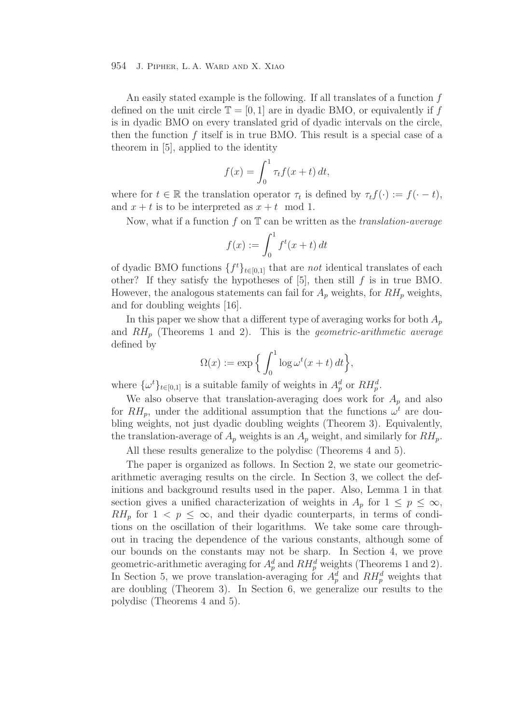An easily stated example is the following. If all translates of a function f defined on the unit circle  $\mathbb{T} = [0, 1]$  are in dyadic BMO, or equivalently if f is in dyadic BMO on every translated grid of dyadic intervals on the circle, then the function  $f$  itself is in true BMO. This result is a special case of a theorem in [5], applied to the identity

$$
f(x) = \int_0^1 \tau_t f(x+t) dt,
$$

where for  $t \in \mathbb{R}$  the translation operator  $\tau_t$  is defined by  $\tau_t f(\cdot) := f(\cdot - t)$ , and  $x + t$  is to be interpreted as  $x + t \mod 1$ .

Now, what if a function f on T can be written as the *translation-average*

$$
f(x) := \int_0^1 f^t(x+t) dt
$$

of dyadic BMO functions  $\{f^t\}_{t\in[0,1]}$  that are *not* identical translates of each other? If they satisfy the hypotheses of  $[5]$ , then still  $f$  is in true BMO. However, the analogous statements can fail for  $A_p$  weights, for  $RH_p$  weights, and for doubling weights [16].

In this paper we show that a different type of averaging works for both  $A_p$ and RH<sup>p</sup> (Theorems 1 and 2). This is the *geometric-arithmetic average* defined by

$$
\Omega(x) := \exp\Big\{\int_0^1 \log \omega^t(x+t) dt\Big\},\
$$

where  $\{\omega^t\}_{t\in[0,1]}$  is a suitable family of weights in  $A_p^d$  or  $RH_p^d$ .

We also observe that translation-averaging does work for  $A_p$  and also for  $RH_p$ , under the additional assumption that the functions  $\omega^t$  are doubling weights, not just dyadic doubling weights (Theorem 3). Equivalently, the translation-average of  $A_p$  weights is an  $A_p$  weight, and similarly for  $RH_p$ .

All these results generalize to the polydisc (Theorems 4 and 5).

The paper is organized as follows. In Section 2, we state our geometricarithmetic averaging results on the circle. In Section 3, we collect the definitions and background results used in the paper. Also, Lemma 1 in that section gives a unified characterization of weights in  $A_p$  for  $1 \leq p \leq \infty$ ,  $RH_p$  for  $1 < p \leq \infty$ , and their dyadic counterparts, in terms of conditions on the oscillation of their logarithms. We take some care throughout in tracing the dependence of the various constants, although some of our bounds on the constants may not be sharp. In Section 4, we prove geometric-arithmetic averaging for  $A_p^d$  and  $RH_p^d$  weights (Theorems 1 and 2). In Section 5, we prove translation-averaging for  $A_n^d$  and  $RH_n^d$  weights that are doubling (Theorem 3). In Section 6, we generalize our results to the polydisc (Theorems 4 and 5).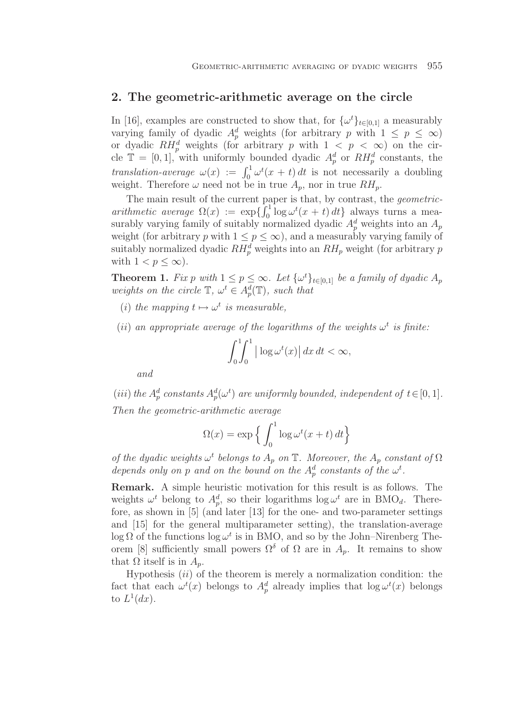## **2. The geometric-arithmetic average on the circle**

In [16], examples are constructed to show that, for  $\{\omega^t\}_{t\in[0,1]}$  a measurably varying family of dyadic  $A_p^d$  weights (for arbitrary p with  $1 \leq p \leq \infty$ ) or dyadic  $RH_p^d$  weights (for arbitrary p with  $1 < p < \infty$ ) on the circle  $\mathbb{T} = [0, 1]$ , with uniformly bounded dyadic  $A_p^d$  or  $RH_p^d$  constants, the *translation-average*  $\omega(x) := \int_0^1 \omega^t(x+t) dt$  is not necessarily a doubling weight. Therefore  $\omega$  need not be in true  $A_p$ , nor in true  $RH_p$ .

The main result of the current paper is that, by contrast, the *geometricarithmetic average*  $\Omega(x) := \exp\left\{ \int_0^1 \log \omega^t(x+t) dt \right\}$  always turns a measurably varying family of suitably normalized dyadic  $A_p^d$  weights into an  $A_p$ weight (for arbitrary p with  $1 \leq p \leq \infty$ ), and a measurably varying family of suitably normalized dyadic  $RH_p^d$  weights into an  $RH_p$  weight (for arbitrary p with  $1 < p \leq \infty$ ).

**Theorem 1.** *Fix* p *with*  $1 \leq p \leq \infty$ *. Let*  $\{\omega^t\}_{t \in [0,1]}$  *be a family of dyadic*  $A_p$ *weights on the circle*  $\mathbb{T}, \omega^t \in A_p^d(\mathbb{T})$ *, such that* 

- (*i*) *the mapping*  $t \mapsto \omega^t$  *is measurable,*
- (*ii*) an appropriate average of the logarithms of the weights  $\omega^t$  is finite:

$$
\int_0^1 \int_0^1 \left| \log \omega^t(x) \right| dx \, dt < \infty,
$$

*and*

(*iii*) the  $A_p^d$  constants  $A_p^d(\omega^t)$  are uniformly bounded, independent of  $t \in [0, 1]$ . *Then the geometric-arithmetic average*

$$
\Omega(x) = \exp\left\{ \int_0^1 \log \omega^t(x+t) dt \right\}
$$

*of the dyadic weights*  $\omega^t$  *belongs to*  $A_p$  *on*  $\mathbb{T}$ *. Moreover, the*  $A_p$  *constant* of  $\Omega$ *depends only on p and on the bound on the*  $A_p^d$  *constants of the*  $\omega^t$ *.* 

**Remark.** A simple heuristic motivation for this result is as follows. The weights  $\omega^t$  belong to  $A_n^d$ , so their logarithms  $\log \omega^t$  are in BMO<sub>d</sub>. Therefore, as shown in [5] (and later [13] for the one- and two-parameter settings and [15] for the general multiparameter setting), the translation-average log  $\Omega$  of the functions log  $\omega^t$  is in BMO, and so by the John–Nirenberg Theorem [8] sufficiently small powers  $\Omega^{\delta}$  of  $\Omega$  are in  $A_p$ . It remains to show that  $\Omega$  itself is in  $A_p$ .

Hypothesis  $(ii)$  of the theorem is merely a normalization condition: the fact that each  $\omega^t(x)$  belongs to  $A_p^d$  already implies that  $\log \omega^t(x)$  belongs to  $L^1(dx)$ .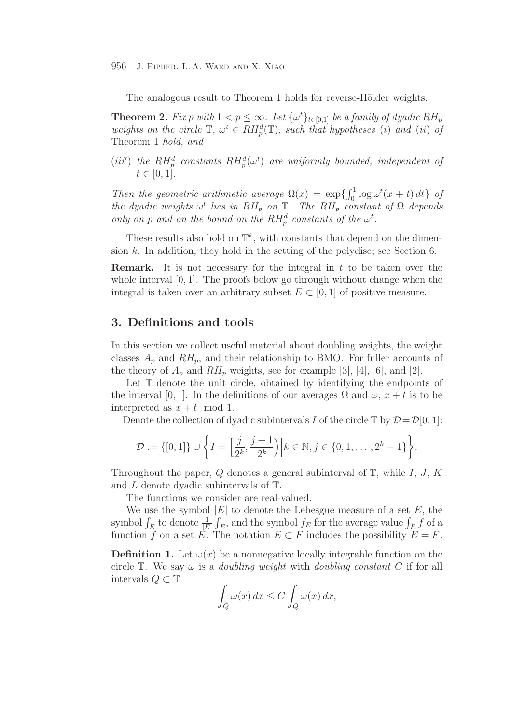The analogous result to Theorem 1 holds for reverse-Hölder weights.

**Theorem 2.** *Fix* p with  $1 < p \leq \infty$ . Let  $\{\omega^t\}_{t \in [0,1]}$  be a family of dyadic RH<sub>p</sub> *weights on the circle*  $\mathbb{T}$ *,*  $\omega^t \in RH_p^d(\mathbb{T})$ *, such that hypotheses* (*i*) *and* (*ii*) *of* Theorem 1 *hold, and*

(*iii'*) the  $RH_p^d$  constants  $RH_p^d(\omega^t)$  are uniformly bounded, independent of  $t \in [0, 1].$ 

*Then the geometric-arithmetic average*  $\Omega(x) = \exp\{\int_0^1 \log \omega^t(x+t) dt\}$  *of the dyadic weights*  $\omega^t$  *lies in*  $RH_p$  *on*  $\mathbb{T}$ *. The*  $RH_p$  *constant* of  $\Omega$  *depends* only on p and on the bound on the  $RH_p^d$  constants of the  $\omega^t$ .

These results also hold on  $\mathbb{T}^k$ , with constants that depend on the dimension k. In addition, they hold in the setting of the polydisc; see Section 6.

**Remark.** It is not necessary for the integral in t to be taken over the whole interval  $[0, 1]$ . The proofs below go through without change when the integral is taken over an arbitrary subset  $E \subset [0, 1]$  of positive measure.

# **3. Definitions and tools**

In this section we collect useful material about doubling weights, the weight classes  $A_n$  and  $RH_n$ , and their relationship to BMO. For fuller accounts of the theory of  $A_p$  and  $RH_p$  weights, see for example [3], [4], [6], and [2].

Let  $\mathbb T$  denote the unit circle, obtained by identifying the endpoints of the interval [0, 1]. In the definitions of our averages  $\Omega$  and  $\omega$ ,  $x + t$  is to be interpreted as  $x + t \mod 1$ .

Denote the collection of dyadic subintervals I of the circle  $\mathbb{T}$  by  $\mathcal{D}=\mathcal{D}[0, 1]$ :

$$
\mathcal{D} := \{ [0,1] \} \cup \left\{ I = \left[ \frac{j}{2^k}, \frac{j+1}{2^k} \right) \middle| k \in \mathbb{N}, j \in \{0,1,\ldots,2^k-1\} \right\}.
$$

Throughout the paper,  $Q$  denotes a general subinterval of  $T$ , while  $I, J, K$ and L denote dyadic subintervals of T.

The functions we consider are real-valued.

We use the symbol  $|E|$  to denote the Lebesgue measure of a set E, the symbol  $f_{E}$  to denote  $\frac{1}{|E|}$  $\int_E$ , and the symbol  $f_E$  for the average value  $\int_E f$  of a function f on a set E. The notation  $E \subset F$  includes the possibility  $E = F$ .

**Definition 1.** Let  $\omega(x)$  be a nonnegative locally integrable function on the circle  $\mathbb T$ . We say  $\omega$  is a *doubling weight* with *doubling constant* C if for all intervals  $\mathcal{O} \subset \mathbb{T}$ 

$$
\int_{\widetilde{Q}} \omega(x) dx \le C \int_{Q} \omega(x) dx,
$$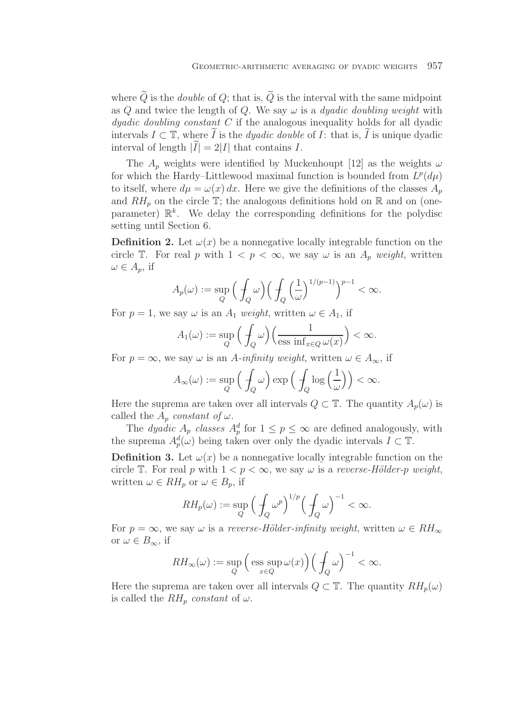where  $Q$  is the *double* of  $Q$ ; that is,  $Q$  is the interval with the same midpoint as Q and twice the length of Q. We say  $\omega$  is a *dyadic doubling weight* with *dyadic doubling constant* C if the analogous inequality holds for all dyadic intervals  $I \subset \mathbb{T}$ , where  $\widetilde{I}$  is the *dyadic double* of *I*: that is,  $\widetilde{I}$  is unique dyadic interval of length  $|\tilde{I}| = 2|I|$  that contains I.

The  $A_p$  weights were identified by Muckenhoupt [12] as the weights  $\omega$ for which the Hardy–Littlewood maximal function is bounded from  $L^p(d\mu)$ to itself, where  $d\mu = \omega(x) dx$ . Here we give the definitions of the classes  $A_p$ and  $RH_p$  on the circle  $\mathbb{T}$ ; the analogous definitions hold on  $\mathbb{R}$  and on (oneparameter)  $\mathbb{R}^k$ . We delay the corresponding definitions for the polydisc setting until Section 6.

**Definition 2.** Let  $\omega(x)$  be a nonnegative locally integrable function on the circle T. For real p with  $1 < p < \infty$ , we say  $\omega$  is an  $A_p$  weight, written  $\omega \in A_p$ , if

$$
A_p(\omega) := \sup_Q \left( \int_Q \omega \right) \left( \int_Q \left( \frac{1}{\omega} \right)^{1/(p-1)} \right)^{p-1} < \infty.
$$

For  $p = 1$ , we say  $\omega$  is an  $A_1$  *weight*, written  $\omega \in A_1$ , if

$$
A_1(\omega) := \sup_{Q} \left( \int_Q \omega \right) \left( \frac{1}{\operatorname{ess} \inf_{x \in Q} \omega(x)} \right) < \infty.
$$

For  $p = \infty$ , we say  $\omega$  is an A-infinity weight, written  $\omega \in A_{\infty}$ , if

$$
A_{\infty}(\omega) := \sup_{Q} \left( \frac{1}{f_Q} \omega \right) \exp \left( \frac{1}{f_Q} \log \left( \frac{1}{\omega} \right) \right) < \infty.
$$

Here the suprema are taken over all intervals  $Q \subset \mathbb{T}$ . The quantity  $A_p(\omega)$  is called the  $A_p$  *constant of*  $\omega$ .

The *dyadic*  $A_p$  *classes*  $A_p^d$  for  $1 \leq p \leq \infty$  are defined analogously, with the suprema  $A_p^d(\omega)$  being taken over only the dyadic intervals  $\tilde{I} \subset \mathbb{T}$ .

**Definition 3.** Let  $\omega(x)$  be a nonnegative locally integrable function on the circle T. For real p with  $1 < p < \infty$ , we say  $\omega$  is a *reverse-Hölder-p weight*, written  $\omega \in RH_p$  or  $\omega \in B_p$ , if

$$
RH_p(\omega) := \sup_Q \left(\frac{1}{\int_Q \omega^p}\right)^{1/p} \left(\frac{1}{\int_Q \omega}\right)^{-1} < \infty.
$$

For  $p = \infty$ , we say  $\omega$  is a *reverse-Hölder-infinity weight*, written  $\omega \in RH_{\infty}$ or  $\omega \in B_{\infty}$ , if

$$
RH_{\infty}(\omega) := \sup_{Q} \Big( \operatorname*{ess\;sup}_{x \in Q} \omega(x) \Big) \Big( \int_{Q} \omega \Big)^{-1} < \infty.
$$

Here the suprema are taken over all intervals  $Q \subset \mathbb{T}$ . The quantity  $RH_p(\omega)$ is called the  $RH_p$  *constant* of  $\omega$ .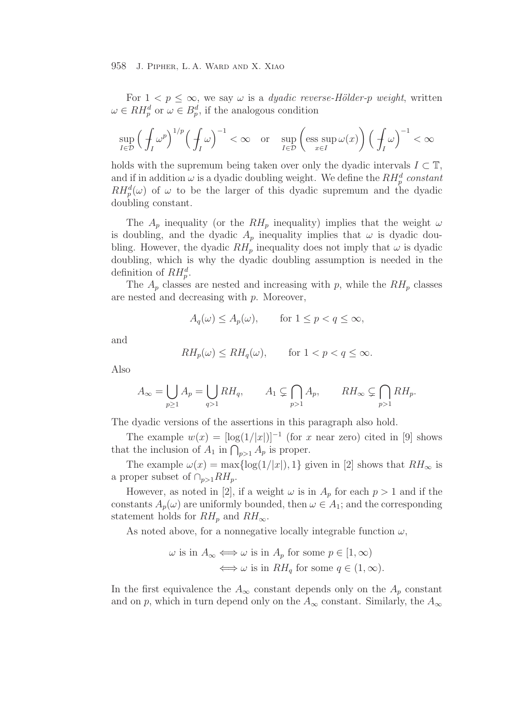For  $1 < p \leq \infty$ , we say  $\omega$  is a *dyadic reverse-Hölder-p weight*, written  $\omega \in RH_p^d$  or  $\omega \in B_p^d$ , if the analogous condition

$$
\sup_{I\in\mathcal{D}}\left(\frac{1}{f_I}\omega^p\right)^{1/p}\left(\frac{1}{f_I}\omega\right)^{-1} < \infty \quad \text{or} \quad \sup_{I\in\mathcal{D}}\left(\underset{x\in I}{\text{ess sup}}\,\omega(x)\right)\left(\frac{1}{f_I}\omega\right)^{-1} < \infty
$$

holds with the supremum being taken over only the dyadic intervals  $I \subset \mathbb{T}$ , and if in addition  $\omega$  is a dyadic doubling weight. We define the  $RH_p^d$  constant  $RH_p^d(\omega)$  of  $\omega$  to be the larger of this dyadic supremum and the dyadic doubling constant.

The  $A_p$  inequality (or the  $RH_p$  inequality) implies that the weight  $\omega$ is doubling, and the dyadic  $A_p$  inequality implies that  $\omega$  is dyadic doubling. However, the dyadic  $RH_p$  inequality does not imply that  $\omega$  is dyadic doubling, which is why the dyadic doubling assumption is needed in the definition of  $RH_p^d$ .

The  $A_p$  classes are nested and increasing with p, while the  $RH_p$  classes are nested and decreasing with p. Moreover,

$$
A_q(\omega) \le A_p(\omega), \qquad \text{for } 1 \le p < q \le \infty,
$$

and

$$
RH_p(\omega) \le RH_q(\omega), \qquad \text{for } 1 < p < q \le \infty.
$$

Also

$$
A_{\infty} = \bigcup_{p \ge 1} A_p = \bigcup_{q > 1} RH_q, \qquad A_1 \subsetneq \bigcap_{p > 1} A_p, \qquad RH_{\infty} \subsetneq \bigcap_{p > 1} RH_p.
$$

The dyadic versions of the assertions in this paragraph also hold.

The example  $w(x) = \lfloor \log(1/|x|) \rfloor^{-1}$  (for x near zero) cited in [9] shows that the inclusion of  $A_1$  in  $\bigcap_{p>1} A_p$  is proper.

The example  $\omega(x) = \max\{\log(1/|x|), 1\}$  given in [2] shows that  $RH_{\infty}$  is a proper subset of  $\cap_{p>1} RH_p$ .

However, as noted in [2], if a weight  $\omega$  is in  $A_p$  for each  $p > 1$  and if the constants  $A_p(\omega)$  are uniformly bounded, then  $\omega \in A_1$ ; and the corresponding statement holds for  $RH_p$  and  $RH_\infty$ .

As noted above, for a nonnegative locally integrable function  $\omega$ ,

$$
\omega \text{ is in } A_{\infty} \Longleftrightarrow \omega \text{ is in } A_p \text{ for some } p \in [1, \infty)
$$

$$
\Longleftrightarrow \omega \text{ is in } RH_q \text{ for some } q \in (1, \infty).
$$

In the first equivalence the  $A_{\infty}$  constant depends only on the  $A_p$  constant and on p, which in turn depend only on the  $A_{\infty}$  constant. Similarly, the  $A_{\infty}$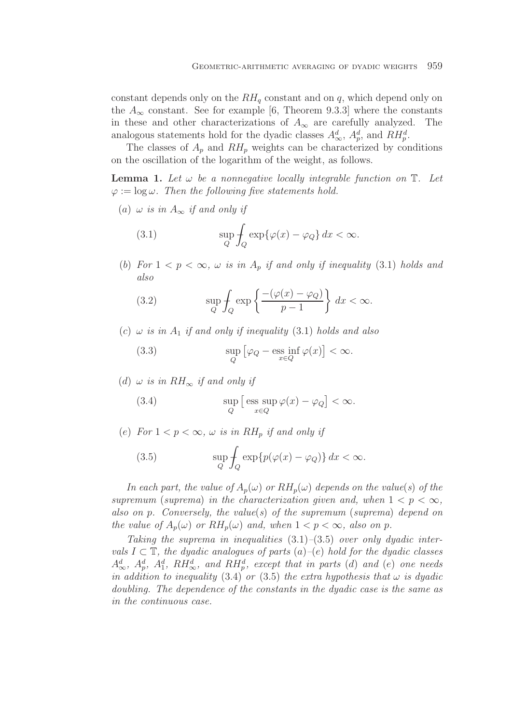constant depends only on the  $RH_q$  constant and on q, which depend only on the  $A_{\infty}$  constant. See for example [6, Theorem 9.3.3] where the constants in these and other characterizations of  $A_{\infty}$  are carefully analyzed. The analogous statements hold for the dyadic classes  $A^d_{\infty}$ ,  $A^d_p$ , and  $\tilde{R}H^d_p$ .

The classes of  $A_p$  and  $RH_p$  weights can be characterized by conditions on the oscillation of the logarithm of the weight, as follows.

**Lemma 1.** Let  $\omega$  be a nonnegative locally integrable function on  $\mathbb{T}$ . Let  $\varphi := \log \omega$ . Then the following five statements hold.

(a)  $\omega$  *is in*  $A_{\infty}$  *if and only if* 

(3.1) 
$$
\sup_{Q} \int_{Q} \exp\{\varphi(x) - \varphi_{Q}\} dx < \infty.
$$

(b) For  $1 < p < \infty$ ,  $\omega$  *is in*  $A_p$  *if and only if inequality* (3.1) *holds and also*

(3.2) 
$$
\sup_{Q} \int_{Q} \exp \left\{ \frac{- (\varphi(x) - \varphi_{Q})}{p - 1} \right\} dx < \infty.
$$

 $(c)$   $\omega$  *is in*  $A_1$  *if and only if inequality* (3.1) *holds and also* 

(3.3) 
$$
\sup_{Q} [\varphi_Q - \underset{x \in Q}{\text{ess inf }} \varphi(x)] < \infty.
$$

(d)  $\omega$  *is in*  $RH_{\infty}$  *if and only if* 

(3.4) 
$$
\sup_{Q} \left[ \operatorname{ess} \sup_{x \in Q} \varphi(x) - \varphi_Q \right] < \infty.
$$

(e) For  $1 < p < \infty$ ,  $\omega$  *is in* RH<sub>p</sub> *if and only if* 

(3.5) 
$$
\sup_{Q} \int_{Q} \exp\{p(\varphi(x) - \varphi_{Q})\} dx < \infty.
$$

*In each part, the value of*  $A_p(\omega)$  *or*  $RH_p(\omega)$  *depends on the value(s) of the supremum* (*suprema*) *in the characterization given and, when*  $1 < p < \infty$ *, also on* p*. Conversely, the value*(*s*) *of the supremum* (*suprema*) *depend on the value of*  $A_p(\omega)$  *or*  $RH_p(\omega)$  *and, when*  $1 < p < \infty$ *, also on* p.

*Taking the suprema in inequalities* (3.1)*–*(3.5) *over only dyadic intervals*  $I \subset \mathbb{T}$ *, the dyadic analogues of parts*  $(a)$ – $(e)$  *hold for the dyadic classes*  $A^d_\infty$ ,  $A^d_p$ ,  $A^d_1$ ,  $RH^d_\infty$ , and  $RH^d_p$ , except that in parts (d) and (e) one needs *in addition to inequality* (3.4) *or* (3.5) *the extra hypothesis that*  $\omega$  *is dyadic doubling. The dependence of the constants in the dyadic case is the same as in the continuous case.*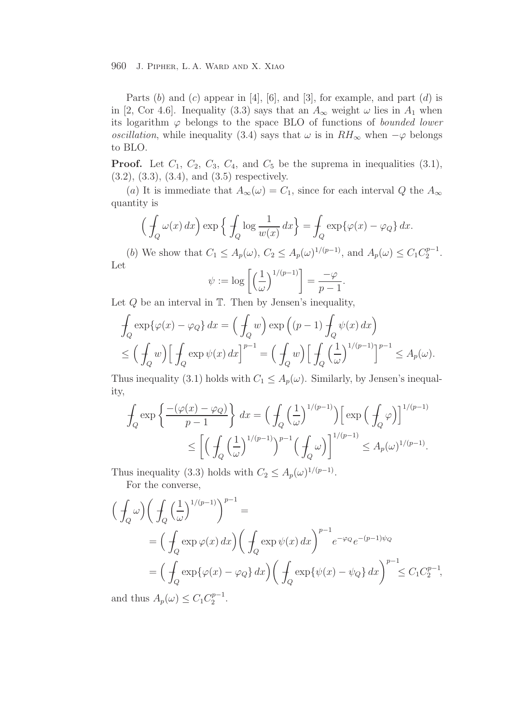Parts  $(b)$  and  $(c)$  appear in [4], [6], and [3], for example, and part  $(d)$  is in [2, Cor 4.6]. Inequality (3.3) says that an  $A_{\infty}$  weight  $\omega$  lies in  $A_1$  when its logarithm  $\varphi$  belongs to the space BLO of functions of *bounded lower oscillation*, while inequality (3.4) says that  $\omega$  is in  $RH_{\infty}$  when  $-\varphi$  belongs to BLO.

**Proof.** Let  $C_1$ ,  $C_2$ ,  $C_3$ ,  $C_4$ , and  $C_5$  be the suprema in inequalities  $(3.1)$ , (3.2), (3.3), (3.4), and (3.5) respectively.

(a) It is immediate that  $A_{\infty}(\omega) = C_1$ , since for each interval Q the  $A_{\infty}$ quantity is

$$
\left(\int_{Q} \omega(x) dx\right) \exp\left\{\int_{Q} \log \frac{1}{w(x)} dx\right\} = \int_{Q} \exp\{\varphi(x) - \varphi_{Q}\} dx.
$$

(b) We show that  $C_1 \leq A_p(\omega)$ ,  $C_2 \leq A_p(\omega)^{1/(p-1)}$ , and  $A_p(\omega) \leq C_1 C_2^{p-1}$ . Let

$$
\psi := \log \left[ \left( \frac{1}{\omega} \right)^{1/(p-1)} \right] = \frac{-\varphi}{p-1}.
$$

Let  $Q$  be an interval in  $T$ . Then by Jensen's inequality,

$$
\int_{Q} \exp\{\varphi(x) - \varphi_Q\} dx = \left(\int_{Q} w\right) \exp\left((p-1) \int_{Q} \psi(x) dx\right)
$$
\n
$$
\leq \left(\int_{Q} w\right) \left[\int_{Q} \exp \psi(x) dx\right]^{p-1} = \left(\int_{Q} w\right) \left[\int_{Q} \left(\frac{1}{\omega}\right)^{1/(p-1)}\right]^{p-1} \leq A_p(\omega).
$$

Thus inequality (3.1) holds with  $C_1 \leq A_p(\omega)$ . Similarly, by Jensen's inequality,

$$
\int_{Q} \exp\left\{\frac{-\left(\varphi(x) - \varphi_{Q}\right)}{p-1}\right\} dx = \left(\int_{Q} \left(\frac{1}{\omega}\right)^{1/(p-1)}\right) \left[\exp\left(\frac{1}{\varphi}\varphi\right)\right]^{1/(p-1)} \n\leq \left[\left(\int_{Q} \left(\frac{1}{\omega}\right)^{1/(p-1)}\right)^{p-1} \left(\frac{1}{\varphi}\omega\right)\right]^{1/(p-1)} \leq A_{p}(\omega)^{1/(p-1)}.
$$

Thus inequality (3.3) holds with  $C_2 \n\t\leq A_p(\omega)^{1/(p-1)}$ .

For the converse,

$$
\left(\int_{Q} \omega\right) \left(\int_{Q} \left(\frac{1}{\omega}\right)^{1/(p-1)}\right)^{p-1} =
$$
\n
$$
= \left(\int_{Q} \exp \varphi(x) \, dx\right) \left(\int_{Q} \exp \psi(x) \, dx\right)^{p-1} e^{-\varphi_{Q}} e^{-(p-1)\psi_{Q}}
$$
\n
$$
= \left(\int_{Q} \exp \{\varphi(x) - \varphi_{Q}\} \, dx\right) \left(\int_{Q} \exp \{\psi(x) - \psi_{Q}\} \, dx\right)^{p-1} \leq C_{1} C_{2}^{p-1},
$$

and thus  $A_p(\omega) \leq C_1 C_2^{p-1}$ .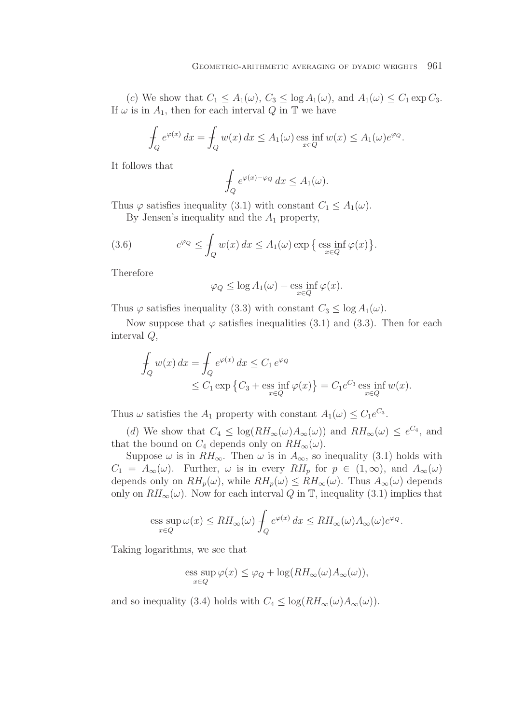(c) We show that  $C_1 \leq A_1(\omega)$ ,  $C_3 \leq \log A_1(\omega)$ , and  $A_1(\omega) \leq C_1 \exp C_3$ . If  $\omega$  is in  $A_1$ , then for each interval Q in T we have

$$
\int_{Q} e^{\varphi(x)} dx = \int_{Q} w(x) dx \le A_1(\omega) \operatorname{ess\,inf}_{x \in Q} w(x) \le A_1(\omega) e^{\varphi_Q}.
$$

It follows that

$$
\int_{Q} e^{\varphi(x) - \varphi_Q} dx \le A_1(\omega).
$$

Thus  $\varphi$  satisfies inequality (3.1) with constant  $C_1 \leq A_1(\omega)$ .

By Jensen's inequality and the  $A_1$  property,

(3.6) 
$$
e^{\varphi_Q} \leq \int_Q w(x) dx \leq A_1(\omega) \exp \left\{ \, \underset{x \in Q}{\mathrm{ess~inf}} \, \varphi(x) \right\}.
$$

Therefore

$$
\varphi_Q \le \log A_1(\omega) + \underset{x \in Q}{\mathrm{ess\ inf}} \,\varphi(x).
$$

Thus  $\varphi$  satisfies inequality (3.3) with constant  $C_3 \le \log A_1(\omega)$ .

Now suppose that  $\varphi$  satisfies inequalities (3.1) and (3.3). Then for each interval Q,

$$
\int_{Q} w(x) dx = \int_{Q} e^{\varphi(x)} dx \le C_1 e^{\varphi_Q}
$$
\n
$$
\le C_1 \exp \left\{ C_3 + \operatorname*{ess\ inf}_{x \in Q} \varphi(x) \right\} = C_1 e^{C_3} \operatorname*{ess\ inf}_{x \in Q} w(x).
$$

Thus  $\omega$  satisfies the  $A_1$  property with constant  $A_1(\omega) \leq C_1 e^{C_3}$ .

(d) We show that  $C_4 \leq \log(RH_{\infty}(\omega)A_{\infty}(\omega))$  and  $RH_{\infty}(\omega) \leq e^{C_4}$ , and that the bound on  $C_4$  depends only on  $RH_{\infty}(\omega)$ .

Suppose  $\omega$  is in  $RH_{\infty}$ . Then  $\omega$  is in  $A_{\infty}$ , so inequality (3.1) holds with  $C_1 = A_{\infty}(\omega)$ . Further,  $\omega$  is in every  $RH_p$  for  $p \in (1, \infty)$ , and  $A_{\infty}(\omega)$ depends only on  $RH_p(\omega)$ , while  $RH_p(\omega) \leq RH_\infty(\omega)$ . Thus  $A_\infty(\omega)$  depends only on  $RH_{\infty}(\omega)$ . Now for each interval Q in T, inequality (3.1) implies that

$$
\operatorname{ess} \sup_{x \in Q} \omega(x) \le RH_\infty(\omega) \int_Q e^{\varphi(x)} dx \le RH_\infty(\omega) A_\infty(\omega) e^{\varphi_Q}.
$$

Taking logarithms, we see that

$$
\operatorname{ess} \sup_{x \in Q} \varphi(x) \le \varphi_Q + \log(RH_\infty(\omega)A_\infty(\omega)),
$$

and so inequality (3.4) holds with  $C_4 \leq \log(RH_{\infty}(\omega)A_{\infty}(\omega)).$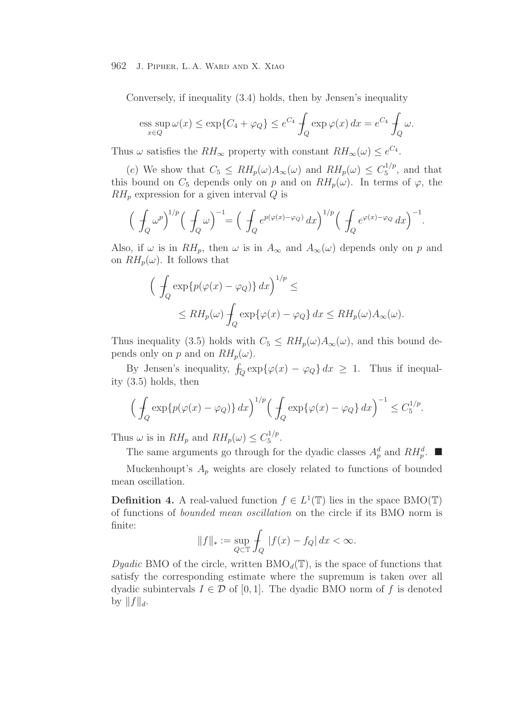Conversely, if inequality (3.4) holds, then by Jensen's inequality

$$
\operatorname{ess} \sup_{x \in Q} \omega(x) \le \exp\{C_4 + \varphi_Q\} \le e^{C_4} \int_Q \exp\varphi(x) \, dx = e^{C_4} \int_Q \omega.
$$

Thus  $\omega$  satisfies the  $RH_{\infty}$  property with constant  $RH_{\infty}(\omega) \leq e^{C_4}$ .

(e) We show that  $C_5 \leq RH_p(\omega)A_\infty(\omega)$  and  $RH_p(\omega) \leq C_5^{1/p}$ , and that this bound on  $C_5$  depends only on p and on  $RH_p(\omega)$ . In terms of  $\varphi$ , the  $RH_p$  expression for a given interval Q is

$$
\left(\int_Q \omega^p\right)^{1/p} \left(\int_Q \omega\right)^{-1} = \left(\int_Q e^{p(\varphi(x)-\varphi_Q)} dx\right)^{1/p} \left(\int_Q e^{\varphi(x)-\varphi_Q} dx\right)^{-1}.
$$

Also, if  $\omega$  is in  $RH_p$ , then  $\omega$  is in  $A_{\infty}$  and  $A_{\infty}(\omega)$  depends only on p and on  $RH_p(\omega)$ . It follows that

$$
\left(\int_{Q} \exp\{p(\varphi(x) - \varphi_{Q})\} dx\right)^{1/p} \le
$$
  
\$\leq RH\_p(\omega) \int\_{Q} \exp\{\varphi(x) - \varphi\_{Q}\} dx \leq RH\_p(\omega)A\_{\infty}(\omega)\$.

Thus inequality (3.5) holds with  $C_5 \n\t\leq RH_p(\omega)A_\infty(\omega)$ , and this bound depends only on p and on  $RH_p(\omega)$ .

By Jensen's inequality,  $\oint_{Q} \exp\{\varphi(x) - \varphi_{Q}\} dx \geq 1$ . Thus if inequality (3.5) holds, then

$$
\left(\int_Q \exp\{p(\varphi(x) - \varphi_Q)\} \, dx\right)^{1/p} \left(\int_Q \exp\{\varphi(x) - \varphi_Q\} \, dx\right)^{-1} \le C_5^{1/p}.
$$

Thus  $\omega$  is in  $RH_p$  and  $RH_p(\omega) \leq C_5^{1/p}$ .

The same arguments go through for the dyadic classes  $A_p^d$  and  $RH_p^d$ .

Muckenhoupt's  $A_p$  weights are closely related to functions of bounded mean oscillation.

**Definition 4.** A real-valued function  $f \in L^1(\mathbb{T})$  lies in the space BMO(T) of functions of *bounded mean oscillation* on the circle if its BMO norm is finite:

$$
||f||_* := \sup_{Q \subset \mathbb{T}} \int_Q |f(x) - f_Q| \, dx < \infty.
$$

*Dyadic* BMO of the circle, written  $BMO_d(\mathbb{T})$ , is the space of functions that satisfy the corresponding estimate where the supremum is taken over all dyadic subintervals  $I \in \mathcal{D}$  of [0, 1]. The dyadic BMO norm of f is denoted by  $||f||_d$ .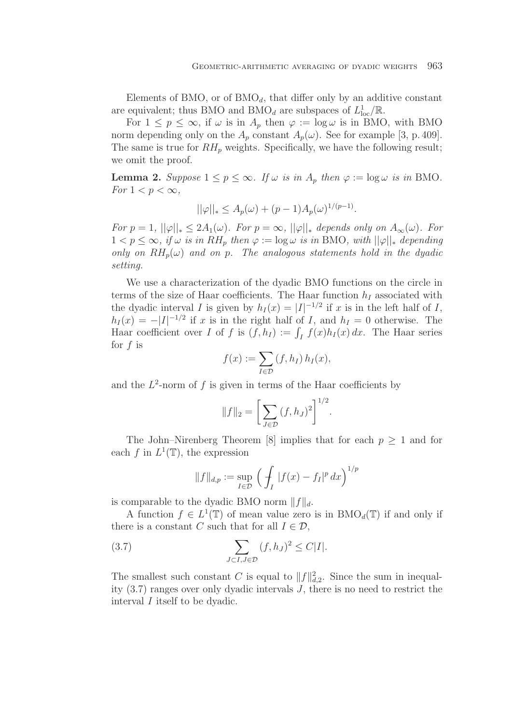Elements of BMO, or of  $BMO<sub>d</sub>$ , that differ only by an additive constant are equivalent; thus BMO and BMO<sub>d</sub> are subspaces of  $L^1_{loc}/\mathbb{R}$ .

For  $1 \leq p \leq \infty$ , if  $\omega$  is in  $A_p$  then  $\varphi := \log \omega$  is in BMO, with BMO norm depending only on the  $A_p$  constant  $A_p(\omega)$ . See for example [3, p. 409]. The same is true for  $RH_p$  weights. Specifically, we have the following result; we omit the proof.

**Lemma 2.** *Suppose*  $1 \leq p \leq \infty$ *. If*  $\omega$  *is in A<sub>p</sub> then*  $\varphi := \log \omega$  *is in* BMO*. For*  $1 < p < \infty$ *,* 

$$
||\varphi||_* \le A_p(\omega) + (p-1)A_p(\omega)^{1/(p-1)}.
$$

*For*  $p = 1$ *,*  $||\varphi||_* \leq 2A_1(\omega)$ *. For*  $p = \infty$ *,*  $||\varphi||_*$  *depends only on*  $A_{\infty}(\omega)$ *. For*  $1 < p ≤ ∞$ *, if* ω *is in RH<sub>p</sub> then*  $\varphi := \log \omega$  *is in* BMO*, with*  $||\varphi||_*$  *depending only on*  $RH_p(\omega)$  *and on* p. The analogous statements hold in the dyadic *setting.*

We use a characterization of the dyadic BMO functions on the circle in terms of the size of Haar coefficients. The Haar function  $h_I$  associated with the dyadic interval I is given by  $h_I(x) = |I|^{-1/2}$  if x is in the left half of I,  $h_I(x) = -|I|^{-1/2}$  if x is in the right half of I, and  $h_I = 0$  otherwise. The Haar coefficient over I of f is  $(f, h_1) := \int_I f(x)h_I(x) dx$ . The Haar series for  $f$  is

$$
f(x) := \sum_{I \in \mathcal{D}} (f, h_I) h_I(x),
$$

and the  $L^2$ -norm of f is given in terms of the Haar coefficients by

$$
||f||_2 = \left[\sum_{J \in \mathcal{D}} (f, h_J)^2\right]^{1/2}.
$$

The John–Nirenberg Theorem [8] implies that for each  $p \geq 1$  and for each f in  $L^1(\mathbb{T})$ , the expression

$$
||f||_{d,p} := \sup_{I \in \mathcal{D}} \left( \int_I |f(x) - f_I|^p dx \right)^{1/p}
$$

is comparable to the dyadic BMO norm  $||f||_d$ .

A function  $f \in L^1(\mathbb{T})$  of mean value zero is in  $BMO_d(\mathbb{T})$  if and only if there is a constant C such that for all  $I \in \mathcal{D}$ ,

(3.7) 
$$
\sum_{J \subset I, J \in \mathcal{D}} (f, h_J)^2 \le C|I|.
$$

The smallest such constant C is equal to  $||f||_{d,2}^2$ . Since the sum in inequality (3.7) ranges over only dyadic intervals J, there is no need to restrict the interval I itself to be dyadic.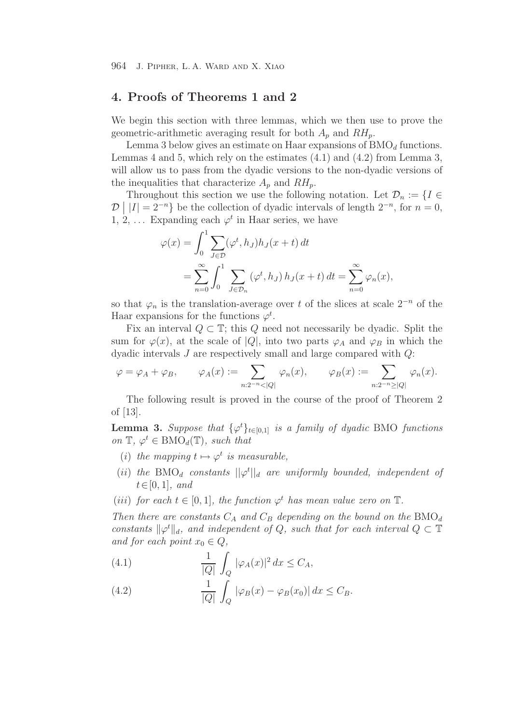# **4. Proofs of Theorems 1 and 2**

We begin this section with three lemmas, which we then use to prove the geometric-arithmetic averaging result for both  $A_p$  and  $RH_p$ .

Lemma 3 below gives an estimate on Haar expansions of  $BMO<sub>d</sub>$  functions. Lemmas 4 and 5, which rely on the estimates (4.1) and (4.2) from Lemma 3, will allow us to pass from the dyadic versions to the non-dyadic versions of the inequalities that characterize  $A_p$  and  $RH_p$ .

Throughout this section we use the following notation. Let  $\mathcal{D}_n := \{I \in$  $\mathcal{D} \mid |I| = 2^{-n}$  be the collection of dyadic intervals of length  $2^{-n}$ , for  $n = 0$ , 1, 2, ... Expanding each  $\varphi^t$  in Haar series, we have

$$
\varphi(x) = \int_0^1 \sum_{J \in \mathcal{D}} (\varphi^t, h_J) h_J(x+t) dt
$$
  
= 
$$
\sum_{n=0}^{\infty} \int_0^1 \sum_{J \in \mathcal{D}_n} (\varphi^t, h_J) h_J(x+t) dt = \sum_{n=0}^{\infty} \varphi_n(x),
$$

so that  $\varphi_n$  is the translation-average over t of the slices at scale  $2^{-n}$  of the Haar expansions for the functions  $\varphi^t$ .

Fix an interval  $Q \subset \mathbb{T}$ ; this Q need not necessarily be dyadic. Split the sum for  $\varphi(x)$ , at the scale of  $|Q|$ , into two parts  $\varphi_A$  and  $\varphi_B$  in which the dyadic intervals J are respectively small and large compared with Q:

$$
\varphi = \varphi_A + \varphi_B, \qquad \varphi_A(x) := \sum_{n:2^{-n} < |Q|} \varphi_n(x), \qquad \varphi_B(x) := \sum_{n:2^{-n} \ge |Q|} \varphi_n(x).
$$

The following result is proved in the course of the proof of Theorem 2 of [13].

**Lemma 3.** Suppose that  $\{\varphi^t\}_{t\in[0,1]}$  is a family of dyadic BMO functions *on*  $\mathbb{T}, \varphi^t \in \text{BMO}_d(\mathbb{T})$ *, such that* 

- (*i*) *the mapping*  $t \mapsto \varphi^t$  *is measurable*,
- (ii) the  $BMO_d$  constants  $||\varphi^t||_d$  are uniformly bounded, independent of t∈[0, 1]*, and*
- (*iii*) *for each*  $t \in [0, 1]$ *, the function*  $\varphi^t$  *has mean value zero on*  $\mathbb{T}$ *.*

*Then there are constants*  $C_A$  *and*  $C_B$  *depending on the bound on the*  $BMO_d$ *constants*  $\|\varphi^t\|_d$ *, and independent of* Q*, such that for each interval*  $Q \subset \mathbb{T}$ *and for each point*  $x_0 \in Q$ ,

(4.1) 
$$
\frac{1}{|Q|} \int_Q |\varphi_A(x)|^2 dx \le C_A,
$$

(4.2) 
$$
\frac{1}{|Q|} \int_Q |\varphi_B(x) - \varphi_B(x_0)| dx \leq C_B.
$$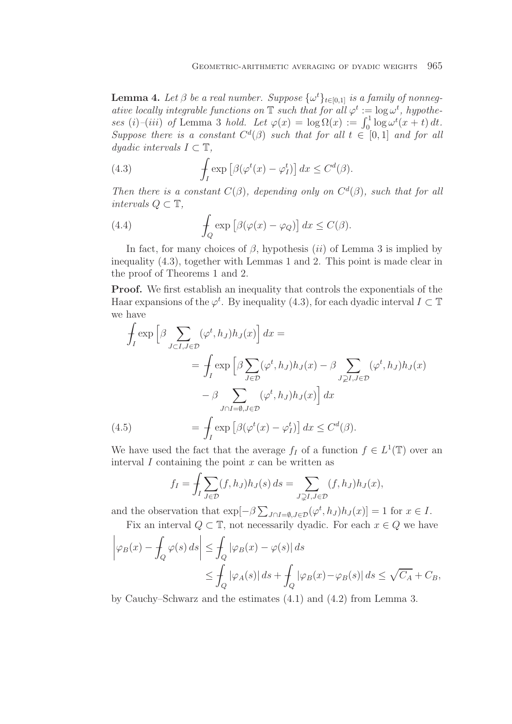**Lemma 4.** Let  $\beta$  be a real number. Suppose  $\{\omega^t\}_{t\in[0,1]}$  is a family of nonneg*ative locally integrable functions on*  $\mathbb{T}$  *such that for all*  $\varphi^t := \log \omega^t$ , hypothe*ses* (i)–(iii) of Lemma 3 *hold.* Let  $\varphi(x) = \log \Omega(x) := \int_0^1 \log \omega^t(x+t) dt$ . *Suppose there is a constant*  $C<sup>d</sup>(\beta)$  *such that for all*  $t \in [0,1]$  *and for all*  $d$ *yadic intervals*  $I \subset \mathbb{T}$ ,

(4.3) 
$$
\int_{I} \exp \left[\beta(\varphi^t(x) - \varphi^t_I)\right] dx \leq C^d(\beta).
$$

*Then there is a constant*  $C(\beta)$ *, depending only on*  $C^d(\beta)$ *, such that for all intervals*  $Q \subset \mathbb{T}$ *,* 

(4.4) 
$$
\int_{Q} \exp \left[\beta(\varphi(x) - \varphi_Q)\right] dx \le C(\beta).
$$

In fact, for many choices of  $\beta$ , hypothesis (ii) of Lemma 3 is implied by inequality (4.3), together with Lemmas 1 and 2. This point is made clear in the proof of Theorems 1 and 2.

**Proof.** We first establish an inequality that controls the exponentials of the Haar expansions of the  $\varphi^t$ . By inequality (4.3), for each dyadic interval  $I \subset \mathbb{T}$ we have

$$
\int_{I} \exp\left[\beta \sum_{J \subset I, J \in \mathcal{D}} (\varphi^{t}, h_{J}) h_{J}(x)\right] dx =
$$
\n
$$
= \int_{I} \exp\left[\beta \sum_{J \in \mathcal{D}} (\varphi^{t}, h_{J}) h_{J}(x) - \beta \sum_{J \supsetneq I, J \in \mathcal{D}} (\varphi^{t}, h_{J}) h_{J}(x)\right]
$$
\n
$$
- \beta \sum_{J \cap I = \emptyset, J \in \mathcal{D}} (\varphi^{t}, h_{J}) h_{J}(x)\right] dx
$$
\n(4.5)\n
$$
= \int_{I} \exp\left[\beta(\varphi^{t}(x) - \varphi_{I}^{t})\right] dx \leq C^{d}(\beta).
$$

We have used the fact that the average  $f_I$  of a function  $f \in L^1(\mathbb{T})$  over an interval  $I$  containing the point  $x$  can be written as

$$
f_I = \int_I \sum_{J \in \mathcal{D}} (f, h_J) h_J(s) \, ds = \sum_{J \supsetneq I, J \in \mathcal{D}} (f, h_J) h_J(x),
$$

and the observation that  $\exp[-\beta \sum_{J \cap I = \emptyset, J \in \mathcal{D}} (\varphi^t, h_J) h_J(x)] = 1$  for  $x \in I$ .

Fix an interval 
$$
Q \subset \mathbb{T}
$$
, not necessarily dyadic. For each  $x \in Q$  we have

$$
\left|\varphi_B(x) - \int_Q \varphi(s) ds\right| \le \int_Q |\varphi_B(x) - \varphi(s)| ds
$$
  
\n
$$
\le \int_Q |\varphi_A(s)| ds + \int_Q |\varphi_B(x) - \varphi_B(s)| ds \le \sqrt{C_A} + C_B,
$$

by Cauchy–Schwarz and the estimates (4.1) and (4.2) from Lemma 3.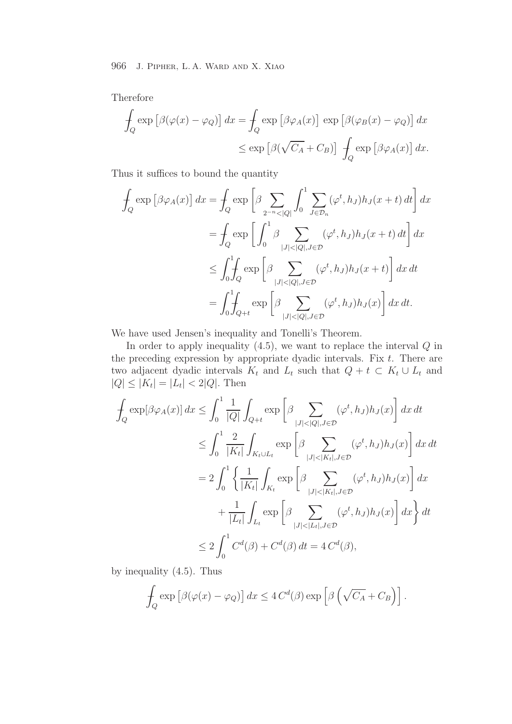Therefore

$$
\int_{Q} \exp \left[ \beta(\varphi(x) - \varphi_Q) \right] dx = \int_{Q} \exp \left[ \beta \varphi_A(x) \right] \exp \left[ \beta(\varphi_B(x) - \varphi_Q) \right] dx
$$
  

$$
\leq \exp \left[ \beta(\sqrt{C_A} + C_B) \right] \int_{Q} \exp \left[ \beta \varphi_A(x) \right] dx.
$$

Thus it suffices to bound the quantity

$$
\int_{Q} \exp \left[\beta \varphi_{A}(x)\right] dx = \int_{Q} \exp \left[\beta \sum_{2^{-n} < |Q|} \int_{0}^{1} \sum_{J \in \mathcal{D}_{n}} (\varphi^{t}, h_{J}) h_{J}(x+t) dt\right] dx
$$
\n
$$
= \int_{Q} \exp \left[\int_{0}^{1} \beta \sum_{|J| < |Q|, J \in \mathcal{D}} (\varphi^{t}, h_{J}) h_{J}(x+t) dt\right] dx
$$
\n
$$
\leq \int_{0}^{1} \int_{Q} \exp \left[\beta \sum_{|J| < |Q|, J \in \mathcal{D}} (\varphi^{t}, h_{J}) h_{J}(x+t)\right] dx dt
$$
\n
$$
= \int_{0}^{1} \int_{Q+t} \exp \left[\beta \sum_{|J| < |Q|, J \in \mathcal{D}} (\varphi^{t}, h_{J}) h_{J}(x)\right] dx dt.
$$

We have used Jensen's inequality and Tonelli's Theorem.

In order to apply inequality  $(4.5)$ , we want to replace the interval  $Q$  in the preceding expression by appropriate dyadic intervals. Fix  $t$ . There are two adjacent dyadic intervals  $K_t$  and  $L_t$  such that  $Q + t \subset K_t \cup L_t$  and  $|Q| \leq |K_t| = |L_t| < 2|Q|$ . Then

$$
\int_{Q} \exp[\beta \varphi_{A}(x)] dx \leq \int_{0}^{1} \frac{1}{|Q|} \int_{Q+t} \exp\left[\beta \sum_{|J| < |Q|, J \in \mathcal{D}} (\varphi^{t}, h_{J}) h_{J}(x)\right] dx dt
$$
\n
$$
\leq \int_{0}^{1} \frac{2}{|K_{t}|} \int_{K_{t} \cup L_{t}} \exp\left[\beta \sum_{|J| < |K_{t}|, J \in \mathcal{D}} (\varphi^{t}, h_{J}) h_{J}(x)\right] dx dt
$$
\n
$$
= 2 \int_{0}^{1} \left\{ \frac{1}{|K_{t}|} \int_{K_{t}} \exp\left[\beta \sum_{|J| < |K_{t}|, J \in \mathcal{D}} (\varphi^{t}, h_{J}) h_{J}(x)\right] dx + \frac{1}{|L_{t}|} \int_{L_{t}} \exp\left[\beta \sum_{|J| < |L_{t}|, J \in \mathcal{D}} (\varphi^{t}, h_{J}) h_{J}(x)\right] dx \right\} dt
$$
\n
$$
\leq 2 \int_{0}^{1} C^{d}(\beta) + C^{d}(\beta) dt = 4 C^{d}(\beta),
$$

by inequality (4.5). Thus

$$
\int_{Q} \exp \left[ \beta(\varphi(x) - \varphi_Q) \right] dx \leq 4 C^d(\beta) \exp \left[ \beta \left( \sqrt{C_A} + C_B \right) \right].
$$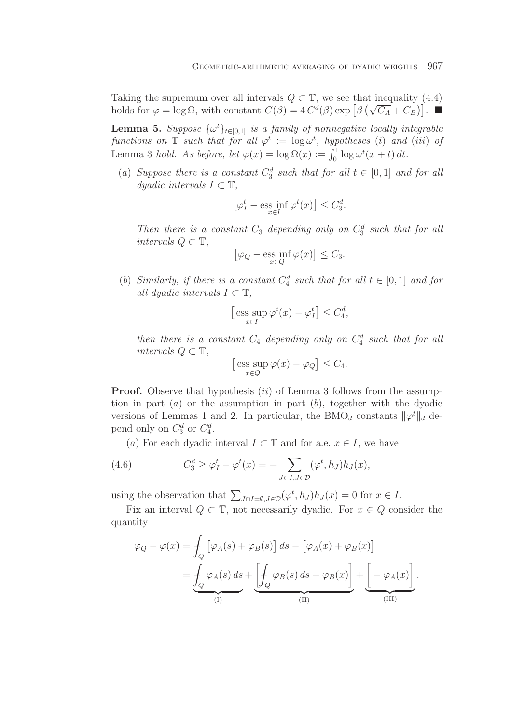Taking the supremum over all intervals  $Q \subset \mathbb{T}$ , we see that inequality (4.4) Taking the supremum over an intervals  $Q \subset \mathbb{I}$ , we see that mequanty (4.4)<br>holds for  $\varphi = \log \Omega$ , with constant  $C(\beta) = 4 C^d(\beta) \exp [\beta (\sqrt{C_A} + C_B)].$ 

**Lemma 5.** *Suppose*  $\{\omega^t\}_{t\in[0,1]}$  *is a family of nonnegative locally integrable functions on*  $\mathbb T$  *such that for all*  $\varphi^t := \log \omega^t$ , *hypotheses* (*i*) *and* (*iii*) *of* Lemma 3 *hold. As before, let*  $\varphi(x) = \log \Omega(x) := \int_0^1 \log \omega^t(x+t) dt$ .

(a) Suppose there is a constant  $C_3^d$  such that for all  $t \in [0,1]$  and for all *dyadic intervals*  $I \subset \mathbb{T}$ *,* 

$$
\left[\varphi_I^t - \underset{x \in I}{\mathrm{ess}} \inf \varphi^t(x)\right] \le C_3^d.
$$

Then there is a constant  $C_3$  depending only on  $C_3^d$  such that for all *intervals*  $Q \subset \mathbb{T}$ *,* 

$$
\left[\varphi_Q - \underset{x \in Q}{\mathrm{ess\ inf}} \,\varphi(x)\right] \le C_3.
$$

(b) *Similarly, if there is a constant*  $C_4^d$  *such that for all*  $t \in [0,1]$  *and for all dyadic intervals*  $I \subset \mathbb{T}$ ,

$$
\left[\operatorname{ess} \sup_{x \in I} \varphi^t(x) - \varphi^t_I\right] \le C_4^d,
$$

*then there is a constant*  $C_4$  *depending only on*  $C_4^d$  *such that for all intervals*  $Q \subset \mathbb{T}$ *,* 

$$
\left[\operatorname{ess} \sup_{x \in Q} \varphi(x) - \varphi_Q\right] \le C_4.
$$

**Proof.** Observe that hypothesis *(ii)* of Lemma 3 follows from the assumption in part  $(a)$  or the assumption in part  $(b)$ , together with the dyadic versions of Lemmas 1 and 2. In particular, the BMO<sub>d</sub> constants  $\|\varphi^t\|_d$  depend only on  $C_3^d$  or  $C_4^d$ .

(a) For each dyadic interval  $I \subset \mathbb{T}$  and for a.e.  $x \in I$ , we have

(4.6) 
$$
C_3^d \ge \varphi_I^t - \varphi^t(x) = - \sum_{J \subset I, J \in \mathcal{D}} (\varphi^t, h_J) h_J(x),
$$

using the observation that  $\sum_{J \cap I = \emptyset, J \in \mathcal{D}} (\varphi^t, h_J) h_J(x) = 0$  for  $x \in I$ .

Fix an interval  $Q \subset \mathbb{T}$ , not necessarily dyadic. For  $x \in Q$  consider the quantity

$$
\varphi_Q - \varphi(x) = \int_Q \left[ \varphi_A(s) + \varphi_B(s) \right] ds - \left[ \varphi_A(x) + \varphi_B(x) \right]
$$

$$
= \underbrace{\int_Q \varphi_A(s) \, ds}_{(I)} + \underbrace{\left[ \int_Q \varphi_B(s) \, ds - \varphi_B(x) \right]}_{(II)} + \underbrace{\left[ - \varphi_A(x) \right]}_{(III)}.
$$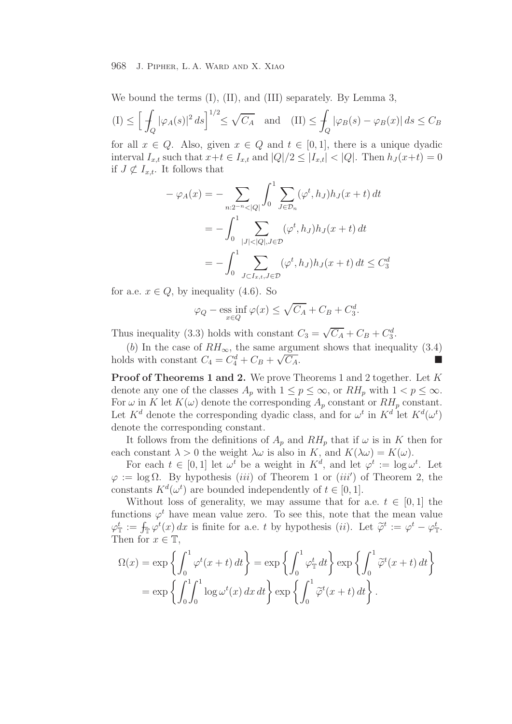We bound the terms  $(I)$ ,  $(II)$ , and  $(III)$  separately. By Lemma 3,

$$
(I) \le \left[ \int_Q |\varphi_A(s)|^2 \, ds \right]^{1/2} \le \sqrt{C_A} \quad \text{and} \quad (II) \le \int_Q |\varphi_B(s) - \varphi_B(x)| \, ds \le C_B
$$

for all  $x \in Q$ . Also, given  $x \in Q$  and  $t \in [0,1]$ , there is a unique dyadic interval  $I_{x,t}$  such that  $x+t \in I_{x,t}$  and  $|Q|/2 \leq |I_{x,t}| < |Q|$ . Then  $h_J(x+t)=0$ if  $J \not\subset I_{x,t}$ . It follows that

$$
-\varphi_A(x) = -\sum_{n:2^{-n} < |Q|} \int_0^1 \sum_{J \in \mathcal{D}_n} (\varphi^t, h_J) h_J(x+t) dt
$$
  
= 
$$
-\int_0^1 \sum_{|J| < |Q|, J \in \mathcal{D}} (\varphi^t, h_J) h_J(x+t) dt
$$
  
= 
$$
-\int_0^1 \sum_{J \subset I_{x,t}, J \in \mathcal{D}} (\varphi^t, h_J) h_J(x+t) dt \leq C_3^d
$$

for a.e.  $x \in Q$ , by inequality (4.6). So

$$
\varphi_Q - \underset{x \in Q}{\text{ess inf}} \varphi(x) \le \sqrt{C_A} + C_B + C_3^d.
$$

Thus inequality (3.3) holds with constant  $C_3 = \sqrt{C_A} + C_B + C_3^d$ .

(b) In the case of  $RH_{\infty}$ , the same argument shows that inequality (3.4) holds with constant  $C_4 = C_4^d + C_B + \sqrt{C_A}$ . the same argument shows that mequanty (5.4)<br> $\frac{d}{4} + C_B + \sqrt{C_A}$ .

**Proof of Theorems 1 and 2.** We prove Theorems 1 and 2 together. Let K denote any one of the classes  $A_p$  with  $1 \le p \le \infty$ , or  $RH_p$  with  $1 < p \le \infty$ . For  $\omega$  in K let  $K(\omega)$  denote the corresponding  $A_p$  constant or  $RH_p$  constant. Let  $K^d$  denote the corresponding dyadic class, and for  $\omega^t$  in  $K^d$  let  $K^d(\omega^t)$ denote the corresponding constant.

It follows from the definitions of  $A_p$  and  $RH_p$  that if  $\omega$  is in K then for each constant  $\lambda > 0$  the weight  $\lambda \omega$  is also in K, and  $K(\lambda \omega) = K(\omega)$ .

For each  $t \in [0,1]$  let  $\omega^t$  be a weight in  $K^d$ , and let  $\varphi^t := \log \omega^t$ . Let  $\varphi := \log \Omega$ . By hypothesis *(iii)* of Theorem 1 or *(iii')* of Theorem 2, the constants  $K^d(\omega^t)$  are bounded independently of  $t \in [0, 1]$ .

Without loss of generality, we may assume that for a.e.  $t \in [0, 1]$  the functions  $\varphi^t$  have mean value zero. To see this, note that the mean value  $\varphi_{\mathbb{T}}^t := \int_{\mathbb{T}} \varphi^t(x) dx$  is finite for a.e. t by hypothesis (ii). Let  $\widetilde{\varphi}^t := \varphi^t - \varphi_{\mathbb{T}}^t$ . Then for  $x \in \mathbb{T}$ ,

$$
\Omega(x) = \exp\left\{\int_0^1 \varphi^t(x+t) dt\right\} = \exp\left\{\int_0^1 \varphi^t_{\mathbb{T}} dt\right\} \exp\left\{\int_0^1 \widetilde{\varphi}^t(x+t) dt\right\}
$$

$$
= \exp\left\{\int_0^1 \int_0^1 \log \omega^t(x) dx dt\right\} \exp\left\{\int_0^1 \widetilde{\varphi}^t(x+t) dt\right\}.
$$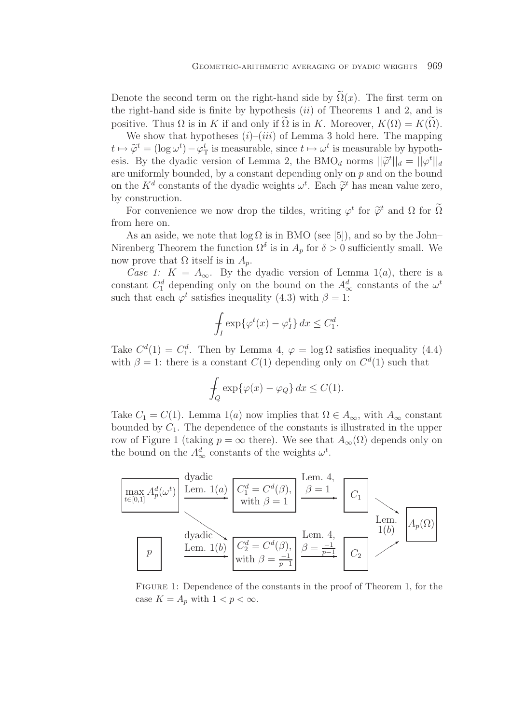Denote the second term on the right-hand side by  $\Omega(x)$ . The first term on the right-hand side is finite by hypothesis  $(ii)$  of Theorems 1 and 2, and is positive. Thus  $\Omega$  is in K if and only if  $\Omega$  is in K. Moreover,  $K(\Omega) = K(\Omega)$ .

We show that hypotheses  $(i)$ – $(iii)$  of Lemma 3 hold here. The mapping  $t \mapsto \widetilde{\varphi}^t = (\log \omega^t) - \varphi^t$  is measurable, since  $t \mapsto \omega^t$  is measurable by hypothesis. By the dyadic version of Lemma 2, the BMO<sub>d</sub> norms  $||\tilde{\varphi}^t||_d = ||\varphi^t||_d$ are uniformly bounded, by a constant depending only on  $p$  and on the bound on the  $K^d$  constants of the dyadic weights  $\omega^t$ . Each  $\tilde{\varphi}^t$  has mean value zero, by construction.

For convenience we now drop the tildes, writing  $\varphi^t$  for  $\widetilde{\varphi}^t$  and  $\Omega$  for  $\widetilde{\Omega}$ from here on.

As an aside, we note that  $log \Omega$  is in BMO (see [5]), and so by the John– Nirenberg Theorem the function  $\Omega^{\delta}$  is in  $A_p$  for  $\delta > 0$  sufficiently small. We now prove that  $\Omega$  itself is in  $A_n$ .

*Case 1:*  $K = A_{\infty}$ . By the dyadic version of Lemma 1(*a*), there is a constant  $C_1^d$  depending only on the bound on the  $A_\infty^d$  constants of the  $\omega^t$ such that each  $\varphi^t$  satisfies inequality (4.3) with  $\beta = 1$ :

$$
\int_I \exp\{\varphi^t(x) - \varphi^t_I\} \, dx \le C_1^d.
$$

Take  $C^{d}(1) = C_{1}^{d}$ . Then by Lemma 4,  $\varphi = \log \Omega$  satisfies inequality (4.4) with  $\beta = 1$ : there is a constant  $C(1)$  depending only on  $C^d(1)$  such that

$$
\int_{Q} \exp\{\varphi(x) - \varphi_Q\} \, dx \le C(1).
$$

Take  $C_1 = C(1)$ . Lemma 1(a) now implies that  $\Omega \in A_{\infty}$ , with  $A_{\infty}$  constant bounded by  $C_1$ . The dependence of the constants is illustrated in the upper row of Figure 1 (taking  $p = \infty$  there). We see that  $A_{\infty}(\Omega)$  depends only on the bound on the  $A^d_{\infty}$  constants of the weights  $\omega^t$ .



Figure 1: Dependence of the constants in the proof of Theorem 1, for the case  $K = A_p$  with  $1 < p < \infty$ .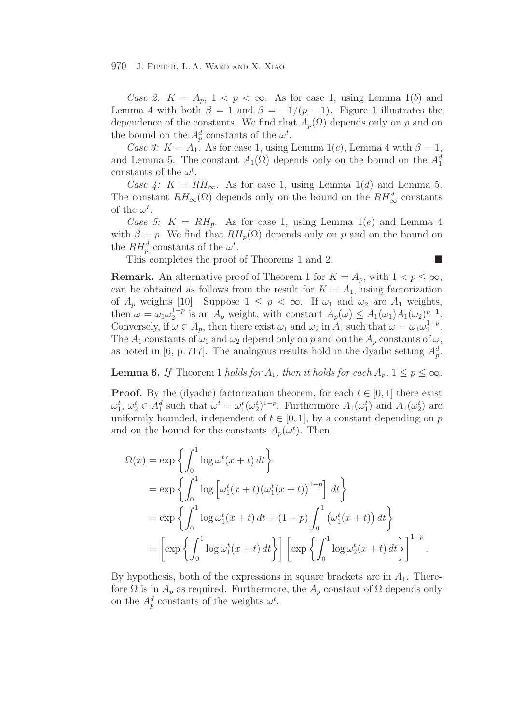*Case 2:*  $K = A_p$ ,  $1 < p < \infty$ . As for case 1, using Lemma 1(b) and Lemma 4 with both  $\beta = 1$  and  $\beta = -1/(p-1)$ . Figure 1 illustrates the dependence of the constants. We find that  $A_p(\Omega)$  depends only on p and on the bound on the  $A_p^d$  constants of the  $\omega^t$ .

*Case 3:*  $K = A_1$ . As for case 1, using Lemma 1(c), Lemma 4 with  $\beta = 1$ , and Lemma 5. The constant  $A_1(\Omega)$  depends only on the bound on the  $A_1^d$ constants of the  $\omega^t$ .

*Case 4:*  $K = RH_{\infty}$ . As for case 1, using Lemma 1(d) and Lemma 5. The constant  $RH_{\infty}(\Omega)$  depends only on the bound on the  $RH_{\infty}^d$  constants of the  $\omega^t$ .

*Case 5:*  $K = RH_p$ . As for case 1, using Lemma 1(e) and Lemma 4 with  $\beta = p$ . We find that  $RH_p(\Omega)$  depends only on p and on the bound on the  $RH_p^d$  constants of the  $\omega^t$ .

 $\overline{\phantom{a}}$ 

This completes the proof of Theorems 1 and 2.

**Remark.** An alternative proof of Theorem 1 for  $K = A_p$ , with  $1 < p \leq \infty$ , can be obtained as follows from the result for  $K = A_1$ , using factorization of  $A_p$  weights [10]. Suppose  $1 \leq p < \infty$ . If  $\omega_1$  and  $\omega_2$  are  $A_1$  weights, then  $\omega = \omega_1 \omega_2^{1-p}$  is an  $A_p$  weight, with constant  $A_p(\omega) \leq A_1(\omega_1)A_1(\omega_2)^{p-1}$ . Conversely, if  $\omega \in A_p$ , then there exist  $\omega_1$  and  $\omega_2$  in  $A_1$  such that  $\omega = \omega_1 \omega_2^{1-p}$ . The  $A_1$  constants of  $\omega_1$  and  $\omega_2$  depend only on p and on the  $A_p$  constants of  $\omega$ , as noted in [6, p. 717]. The analogous results hold in the dyadic setting  $A_p^d$ .

**Lemma 6.** *If* Theorem 1 *holds for*  $A_1$ *, then it holds for each*  $A_n$ ,  $1 \leq p \leq \infty$ *.* 

**Proof.** By the (dyadic) factorization theorem, for each  $t \in [0, 1]$  there exist  $\omega_1^t, \omega_2^t \in A_1^d$  such that  $\omega^t = \omega_1^t(\omega_2^t)^{1-p}$ . Furthermore  $A_1(\omega_1^t)$  and  $A_1(\omega_2^t)$  are uniformly bounded, independent of  $t \in [0, 1]$ , by a constant depending on p and on the bound for the constants  $A_p(\omega^t)$ . Then

$$
\Omega(x) = \exp\left\{\int_0^1 \log \omega^t(x+t) dt\right\}
$$
  
=  $\exp\left\{\int_0^1 \log \left[\omega_1^t(x+t) (\omega_1^t(x+t))^{1-p}\right] dt\right\}$   
=  $\exp\left\{\int_0^1 \log \omega_1^t(x+t) dt + (1-p) \int_0^1 (\omega_1^t(x+t)) dt\right\}$   
=  $\left[\exp\left\{\int_0^1 \log \omega_1^t(x+t) dt\right\}\right] \left[\exp\left\{\int_0^1 \log \omega_2^t(x+t) dt\right\}\right]^{1-p}.$ 

By hypothesis, both of the expressions in square brackets are in  $A_1$ . Therefore  $\Omega$  is in  $A_p$  as required. Furthermore, the  $A_p$  constant of  $\Omega$  depends only on the  $A_p^d$  constants of the weights  $\omega^t$ .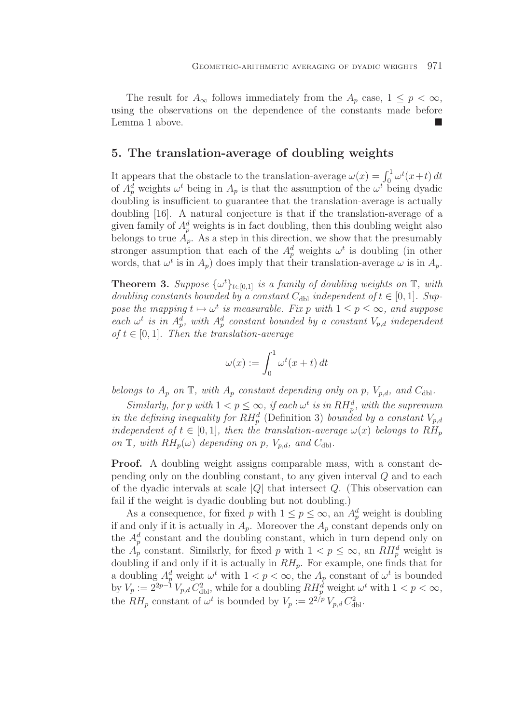The result for  $A_{\infty}$  follows immediately from the  $A_p$  case,  $1 \leq p < \infty$ , using the observations on the dependence of the constants made before Lemma 1 above.

# **5. The translation-average of doubling weights**

It appears that the obstacle to the translation-average  $\omega(x) = \int_0^1 \omega^t(x+t) dt$ of  $A_p^d$  weights  $\omega^t$  being in  $A_p$  is that the assumption of the  $\omega^t$  being dyadic doubling is insufficient to guarantee that the translation-average is actually doubling [16]. A natural conjecture is that if the translation-average of a given family of  $A_n^d$  weights is in fact doubling, then this doubling weight also belongs to true  $A_p$ . As a step in this direction, we show that the presumably stronger assumption that each of the  $A_p^d$  weights  $\omega^t$  is doubling (in other words, that  $\omega^t$  is in  $A_p$ ) does imply that their translation-average  $\omega$  is in  $A_p$ .

**Theorem 3.** *Suppose*  $\{\omega^t\}_{t\in[0,1]}$  *is a family of doubling weights on*  $\mathbb{T}$ *, with doubling constants bounded by a constant*  $C_{db}$  *independent of*  $t \in [0, 1]$ *. Suppose the mapping*  $t \mapsto \omega^t$  *is measurable. Fix p with*  $1 \leq p \leq \infty$ *, and suppose* each  $\omega^t$  *is in*  $A_p^d$ , with  $A_p^d$  constant bounded by a constant  $V_{p,d}$  independent  $of t \in [0, 1]$ *. Then the translation-average* 

$$
\omega(x) := \int_0^1 \omega^t(x+t) dt
$$

*belongs to*  $A_p$  *on*  $\mathbb{T}$ *, with*  $A_p$  *constant depending only on* p*,*  $V_{p,d}$ *, and*  $C_{dbl}$ *.* 

*Similarly, for* p with  $1 < p \leq \infty$ , *if each*  $\omega^t$  *is in*  $RH_p^d$ *, with the supremum* in the defining inequality for  $RH_p^d$  (Definition 3) bounded by a constant  $V_{p,d}$ *independent of*  $t \in [0, 1]$ *, then the translation-average*  $\omega(x)$  *belongs to*  $RH_n$ *on*  $\mathbb{T}$ *, with*  $RH_p(\omega)$  *depending on* p*,*  $V_{p,d}$ *, and*  $C_{dbl}$ *.* 

**Proof.** A doubling weight assigns comparable mass, with a constant depending only on the doubling constant, to any given interval Q and to each of the dyadic intervals at scale  $|Q|$  that intersect  $Q$ . (This observation can fail if the weight is dyadic doubling but not doubling.)

As a consequence, for fixed p with  $1 \leq p \leq \infty$ , an  $A_p^d$  weight is doubling if and only if it is actually in  $A_p$ . Moreover the  $A_p$  constant depends only on the  $A_n^d$  constant and the doubling constant, which in turn depend only on the  $A_p^{\prime}$  constant. Similarly, for fixed p with  $1 < p \leq \infty$ , an  $RH_p^d$  weight is doubling if and only if it is actually in  $RH_p$ . For example, one finds that for a doubling  $A_p^d$  weight  $\omega^t$  with  $1 < p < \infty$ , the  $A_p$  constant of  $\omega^t$  is bounded by  $V_p := 2^{2p-1} V_{p,d} C_{\text{dbl}}^2$ , while for a doubling  $RH_p^d$  weight  $\omega^t$  with  $1 < p < \infty$ , the  $RH_p$  constant of  $\omega^t$  is bounded by  $V_p := 2^{2/p} V_{p,d} C_{\text{dbl}}^2$ .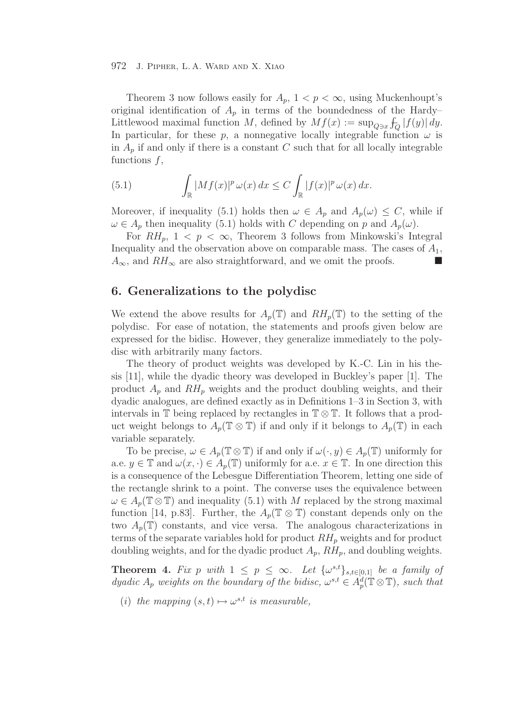Theorem 3 now follows easily for  $A_p$ ,  $1 < p < \infty$ , using Muckenhoupt's original identification of  $A_p$  in terms of the boundedness of the Hardy– Littlewood maximal function M, defined by  $Mf(x) := \sup_{Q \ni x} \int_Q |f(y)| dy$ . In particular, for these p, a nonnegative locally integrable function  $\omega$  is in  $A_p$  if and only if there is a constant C such that for all locally integrable functions  $f$ ,

(5.1) 
$$
\int_{\mathbb{R}} |Mf(x)|^p \, \omega(x) \, dx \leq C \int_{\mathbb{R}} |f(x)|^p \, \omega(x) \, dx.
$$

Moreover, if inequality (5.1) holds then  $\omega \in A_p$  and  $A_p(\omega) \leq C$ , while if  $\omega \in A_p$  then inequality (5.1) holds with C depending on p and  $A_p(\omega)$ .

For  $RH_p$ ,  $1 < p < \infty$ , Theorem 3 follows from Minkowski's Integral Inequality and the observation above on comparable mass. The cases of  $A_1$ ,  $A_{\infty}$ , and  $RH_{\infty}$  are also straightforward, and we omit the proofs.

## **6. Generalizations to the polydisc**

We extend the above results for  $A_n(\mathbb{T})$  and  $RH_n(\mathbb{T})$  to the setting of the polydisc. For ease of notation, the statements and proofs given below are expressed for the bidisc. However, they generalize immediately to the polydisc with arbitrarily many factors.

The theory of product weights was developed by K.-C. Lin in his thesis [11], while the dyadic theory was developed in Buckley's paper [1]. The product  $A_p$  and  $RH_p$  weights and the product doubling weights, and their dyadic analogues, are defined exactly as in Definitions 1–3 in Section 3, with intervals in  $\mathbb T$  being replaced by rectangles in  $\mathbb T \otimes \mathbb T$ . It follows that a product weight belongs to  $A_p(\mathbb{T} \otimes \mathbb{T})$  if and only if it belongs to  $A_p(\mathbb{T})$  in each variable separately.

To be precise,  $\omega \in A_p(\mathbb{T} \otimes \mathbb{T})$  if and only if  $\omega(\cdot, y) \in A_p(\mathbb{T})$  uniformly for a.e.  $y \in \mathbb{T}$  and  $\omega(x, \cdot) \in A_p(\mathbb{T})$  uniformly for a.e.  $x \in \mathbb{T}$ . In one direction this is a consequence of the Lebesgue Differentiation Theorem, letting one side of the rectangle shrink to a point. The converse uses the equivalence between  $\omega \in A_p(\mathbb{T} \otimes \mathbb{T})$  and inequality (5.1) with M replaced by the strong maximal function [14, p.83]. Further, the  $A_p(\mathbb{T} \otimes \mathbb{T})$  constant depends only on the two  $A_p(\mathbb{T})$  constants, and vice versa. The analogous characterizations in terms of the separate variables hold for product  $RH_p$  weights and for product doubling weights, and for the dyadic product  $A_p$ ,  $RH_p$ , and doubling weights.

**Theorem 4.** Fix p with  $1 \leq p \leq \infty$ . Let  $\{\omega^{s,t}\}_{s,t\in[0,1]}$  be a family of *dyadic*  $A_p$  *weights on the boundary of the bidisc,*  $\omega^{s,t} \in A_p^d(\mathbb{T} \otimes \mathbb{T})$ *, such that* 

(*i*) *the mapping*  $(s, t) \mapsto \omega^{s,t}$  *is measurable,*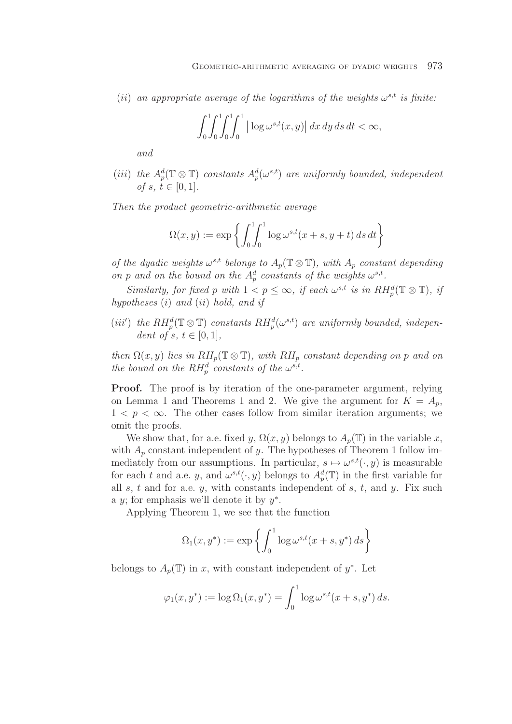(*ii*) an appropriate average of the logarithms of the weights  $\omega^{s,t}$  is finite:

$$
\int_0^1 \int_0^1 \int_0^1 \left| \log \omega^{s,t}(x, y) \right| dx dy ds dt < \infty,
$$

*and*

(*iii*) the  $A_p^d(\mathbb{T} \otimes \mathbb{T})$  constants  $A_p^d(\omega^{s,t})$  are uniformly bounded, independent *of*  $s, t \in [0, 1]$ *.* 

*Then the product geometric-arithmetic average*

$$
\Omega(x, y) := \exp \left\{ \int_0^1 \int_0^1 \log \omega^{s,t} (x + s, y + t) \, ds \, dt \right\}
$$

*of the dyadic weights*  $\omega^{s,t}$  *belongs to*  $A_p(\mathbb{T} \otimes \mathbb{T})$ *, with*  $A_p$  *constant depending on* p and on the bound on the  $A_n^d$  constants of the weights  $\omega^{s,t}$ .

*Similarly, for fixed* p with  $1 < p \leq \infty$ , *if each*  $\omega^{s,t}$  *is in*  $RH_p^d(\mathbb{T} \otimes \mathbb{T})$ , *if hypotheses* (i) *and* (ii) *hold, and if*

(*iii'*) the  $RH_n^d(\mathbb{T}\otimes \mathbb{T})$  constants  $RH_n^d(\omega^{s,t})$  are uniformly bounded, indepen*dent of s, t*  $\in$  [0, 1]*,* 

*then*  $\Omega(x, y)$  *lies in*  $RH_p(\mathbb{T} \otimes \mathbb{T})$ *, with*  $RH_p$  *constant depending on* p *and on the bound on the RH*<sup>d</sup> *constants of the*  $\omega^{s,t}$ *.* 

**Proof.** The proof is by iteration of the one-parameter argument, relying on Lemma 1 and Theorems 1 and 2. We give the argument for  $K = A_p$ ,  $1 < p < \infty$ . The other cases follow from similar iteration arguments; we omit the proofs.

We show that, for a.e. fixed y,  $\Omega(x, y)$  belongs to  $A_n(\mathbb{T})$  in the variable x, with  $A_p$  constant independent of y. The hypotheses of Theorem 1 follow immediately from our assumptions. In particular,  $s \mapsto \omega^{s,t}(\cdot, y)$  is measurable for each t and a.e. y, and  $\omega^{s,t}(\cdot, y)$  belongs to  $A_n^d(\mathbb{T})$  in the first variable for all s, t and for a.e.  $y$ , with constants independent of  $s$ ,  $t$ , and  $y$ . Fix such a y; for emphasis we'll denote it by  $y^*$ .

Applying Theorem 1, we see that the function

$$
\Omega_1(x, y^*) := \exp\left\{ \int_0^1 \log \omega^{s,t} (x+s, y^*) ds \right\}
$$

belongs to  $A_p(\mathbb{T})$  in x, with constant independent of y<sup>∗</sup>. Let

$$
\varphi_1(x, y^*) := \log \Omega_1(x, y^*) = \int_0^1 \log \omega^{s,t} (x + s, y^*) ds.
$$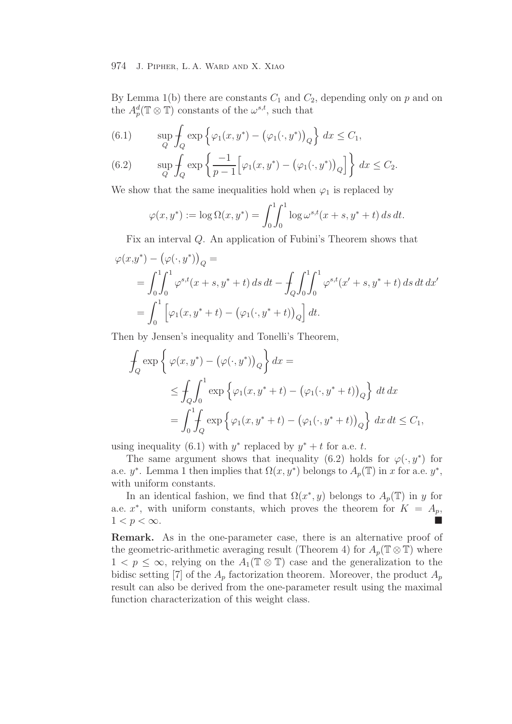By Lemma 1(b) there are constants  $C_1$  and  $C_2$ , depending only on p and on the  $A_p^d(\mathbb{T} \otimes \mathbb{T})$  constants of the  $\omega^{s,t}$ , such that

(6.1) 
$$
\sup_{Q} \int_{Q} \exp \left\{ \varphi_1(x, y^*) - (\varphi_1(\cdot, y^*))_Q \right\} dx \leq C_1,
$$

(6.2) 
$$
\sup_{Q} \int_{Q} \exp \left\{ \frac{-1}{p-1} \Big[ \varphi_1(x, y^*) - \big( \varphi_1(\cdot, y^*) \big)_Q \Big] \right\} dx \leq C_2.
$$

We show that the same inequalities hold when  $\varphi_1$  is replaced by

$$
\varphi(x, y^*) := \log \Omega(x, y^*) = \int_0^1 \int_0^1 \log \omega^{s,t} (x + s, y^* + t) \, ds \, dt.
$$

Fix an interval Q. An application of Fubini's Theorem shows that

$$
\varphi(x,y^*) - (\varphi(\cdot,y^*))_Q =
$$
  
=  $\int_0^1 \int_0^1 \varphi^{s,t}(x+s,y^*+t) \, ds \, dt - \int_Q \int_0^1 \int_0^1 \varphi^{s,t}(x'+s,y^*+t) \, ds \, dt \, dx'$   
=  $\int_0^1 \left[ \varphi_1(x,y^*+t) - (\varphi_1(\cdot,y^*+t))_Q \right] dt.$ 

Then by Jensen's inequality and Tonelli's Theorem,

$$
\int_{Q} \exp \left\{ \varphi(x, y^*) - (\varphi(\cdot, y^*))_Q \right\} dx =
$$
\n
$$
\leq \int_{Q} \int_{0}^{1} \exp \left\{ \varphi_1(x, y^* + t) - (\varphi_1(\cdot, y^* + t))_Q \right\} dt dx
$$
\n
$$
= \int_{0}^{1} \int_{Q} \exp \left\{ \varphi_1(x, y^* + t) - (\varphi_1(\cdot, y^* + t))_Q \right\} dx dt \leq C_1,
$$

using inequality (6.1) with  $y^*$  replaced by  $y^* + t$  for a.e. t.

The same argument shows that inequality (6.2) holds for  $\varphi(\cdot, y^*)$  for a.e.  $y^*$ . Lemma 1 then implies that  $\Omega(x, y^*)$  belongs to  $A_p(\mathbb{T})$  in x for a.e.  $y^*$ , with uniform constants.

In an identical fashion, we find that  $\Omega(x^*, y)$  belongs to  $A_p(\mathbb{T})$  in y for a.e.  $x^*$ , with uniform constants, which proves the theorem for  $K = A_p$ ,  $1 < p < \infty$ .

**Remark.** As in the one-parameter case, there is an alternative proof of the geometric-arithmetic averaging result (Theorem 4) for  $A_n(\mathbb{T}\otimes \mathbb{T})$  where  $1 < p \leq \infty$ , relying on the  $A_1(\mathbb{T} \otimes \mathbb{T})$  case and the generalization to the bidisc setting [7] of the  $A_p$  factorization theorem. Moreover, the product  $A_p$ result can also be derived from the one-parameter result using the maximal function characterization of this weight class.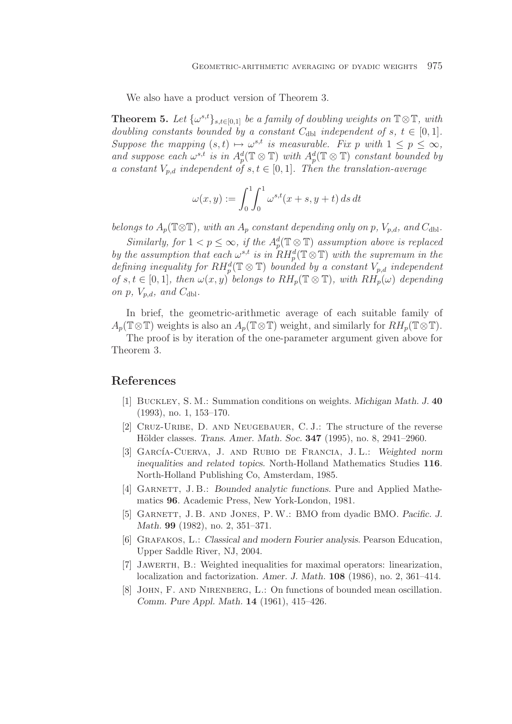We also have a product version of Theorem 3.

**Theorem 5.** *Let*  $\{\omega^{s,t}\}_{s,t\in[0,1]}$  *be a family of doubling weights on*  $\mathbb{T}\otimes\mathbb{T}$ *, with doubling constants bounded by a constant*  $C_{db}$  *independent of* s,  $t \in [0,1]$ *. Suppose the mapping*  $(s, t) \mapsto \omega^{s,t}$  *is measurable. Fix p with*  $1 \leq p \leq \infty$ *,* and suppose each  $\omega^{s,t}$  *is in*  $A_p^d(\mathbb{T} \otimes \mathbb{T})$  *with*  $A_p^d(\mathbb{T} \otimes \mathbb{T})$  *constant bounded by a constant*  $V_{p,d}$  *independent of*  $s, t \in [0,1]$ *. Then the translation-average* 

$$
\omega(x,y) := \int_0^1 \int_0^1 \omega^{s,t}(x+s, y+t) \, ds \, dt
$$

*belongs to*  $A_p(\mathbb{T}\otimes\mathbb{T})$ *, with an*  $A_p$  *constant depending only on* p*,*  $V_{p,d}$ *, and*  $C_{dbl}$ *.* 

*Similarly, for*  $1 < p \leq \infty$ *, if the*  $A_p^d(\mathbb{T} \otimes \mathbb{T})$  *assumption above is replaced by the assumption that each*  $\omega^{s,t}$  *is in*  $\overline{RH_p^d}(\mathbb{T}\otimes\mathbb{T})$  *with the supremum in the* defining inequality for  $RH_p^d(\mathbb{T}\otimes \mathbb{T})$  bounded by a constant  $V_{p,d}$  independent *of*  $s, t \in [0, 1]$ *, then*  $\omega(x, y)$  *belongs to*  $RH_p(\mathbb{T} \otimes \mathbb{T})$ *, with*  $RH_p(\omega)$  *depending on*  $p$ *,*  $V_{p,d}$ *, and*  $C_{dbl}$ *.* 

In brief, the geometric-arithmetic average of each suitable family of  $A_p(\mathbb{T}\otimes\mathbb{T})$  weights is also an  $A_p(\mathbb{T}\otimes\mathbb{T})$  weight, and similarly for  $RH_p(\mathbb{T}\otimes\mathbb{T})$ .

The proof is by iteration of the one-parameter argument given above for Theorem 3.

# **References**

- [1] Buckley, S. M.: Summation conditions on weights. *Michigan Math. J.* **40** (1993), no. 1, 153–170.
- [2] Cruz-Uribe, D. and Neugebauer, C. J.: The structure of the reverse Hölder classes. *Trans. Amer. Math. Soc.* **347** (1995), no. 8, 2941–2960.
- [3] GARCÍA-CUERVA, J. AND RUBIO DE FRANCIA, J.L.: *Weighted norm inequalities and related topics.* North-Holland Mathematics Studies **116**. North-Holland Publishing Co, Amsterdam, 1985.
- [4] Garnett, J. B.: *Bounded analytic functions.* Pure and Applied Mathematics **96**. Academic Press, New York-London, 1981.
- [5] Garnett, J. B. and Jones, P. W.: BMO from dyadic BMO. *Pacific. J. Math.* **99** (1982), no. 2, 351–371.
- [6] Grafakos, L.: *Classical and modern Fourier analysis.* Pearson Education, Upper Saddle River, NJ, 2004.
- [7] Jawerth, B.: Weighted inequalities for maximal operators: linearization, localization and factorization. *Amer. J. Math.* **108** (1986), no. 2, 361–414.
- [8] John, F. and Nirenberg, L.: On functions of bounded mean oscillation. *Comm. Pure Appl. Math.* **14** (1961), 415–426.